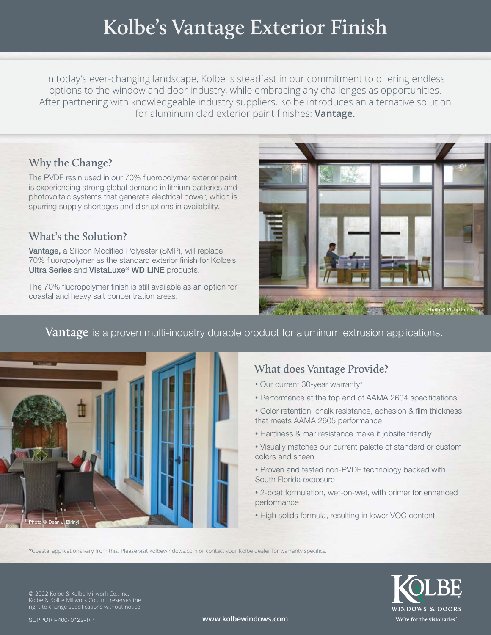# **Kolbe's Vantage Exterior Finish**

In today's ever-changing landscape, Kolbe is steadfast in our commitment to offering endless options to the window and door industry, while embracing any challenges as opportunities. After partnering with knowledgeable industry suppliers, Kolbe introduces an alternative solution for aluminum clad exterior paint finishes: **Vantage.**

## **Why the Change?**

The PVDF resin used in our 70% fluoropolymer exterior paint is experiencing strong global demand in lithium batteries and photovoltaic systems that generate electrical power, which is spurring supply shortages and disruptions in availability.

### **What's the Solution?**

Vantage, a Silicon Modified Polyester (SMP), will replace 70% fluoropolymer as the standard exterior finish for Kolbe's Ultra Series and VistaLuxe® WD LINE products.

The 70% fluoropolymer finish is still available as an option for coastal and heavy salt concentration areas.



#### **Vantage** is a proven multi-industry durable product for aluminum extrusion applications.



# **What does Vantage Provide?**

- Our current 30-year warranty\*
- Performance at the top end of AAMA 2604 specifications
- Color retention, chalk resistance, adhesion & film thickness that meets AAMA 2605 performance
- **•** Hardness & mar resistance make it jobsite friendly
- **•** Visually matches our current palette of standard or custom colors and sheen
- **•** Proven and tested non-PVDF technology backed with South Florida exposure
- **•** 2-coat formulation, wet-on-wet, with primer for enhanced performance
- **•** High solids formula, resulting in lower VOC content

\*Coastal applications vary from this. Please visit kolbewindows.com or contact your Kolbe dealer for warranty specifics.



© 2022 Kolbe & Kolbe Millwork Co., Inc. Kolbe & Kolbe Millwork Co., Inc. reserves the right to change specifications without notice.